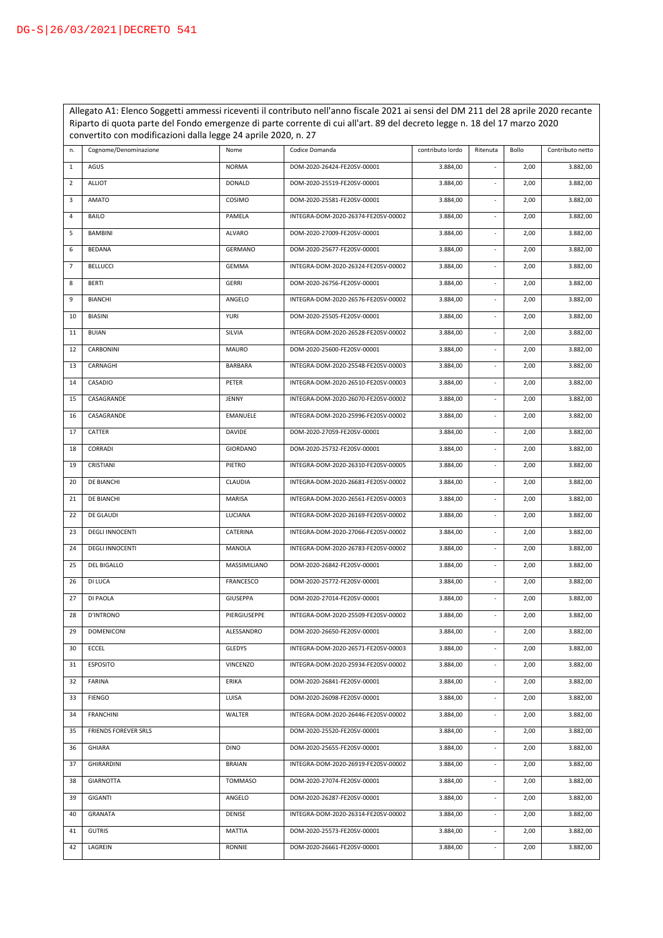Allegato A1: Elenco Soggetti ammessi riceventi il contributo nell'anno fiscale 2021 ai sensi del DM 211 del 28 aprile 2020 recante Riparto di quota parte del Fondo emergenze di parte corrente di cui all'art. 89 del decreto legge n. 18 del 17 marzo 2020 convertito con modificazioni dalla legge 24 aprile 2020, n. 27

| n.             | Cognome/Denominazione       | Nome             | Codice Domanda                      | contributo lordo | Ritenuta                 | Bollo | Contributo netto |
|----------------|-----------------------------|------------------|-------------------------------------|------------------|--------------------------|-------|------------------|
| 1              | AGUS                        | <b>NORMA</b>     | DOM-2020-26424-FE20SV-00001         | 3.884,00         | $\blacksquare$           | 2,00  | 3.882,00         |
| $\overline{2}$ | <b>ALLIOT</b>               | <b>DONALD</b>    | DOM-2020-25519-FE20SV-00001         | 3.884,00         | ÷.                       | 2,00  | 3.882,00         |
| 3              | <b>AMATO</b>                | COSIMO           | DOM-2020-25581-FE20SV-00001         | 3.884,00         | $\overline{\phantom{a}}$ | 2,00  | 3.882,00         |
| 4              | BAILO                       | PAMELA           | INTEGRA-DOM-2020-26374-FE20SV-00002 | 3.884,00         | $\overline{\phantom{a}}$ | 2,00  | 3.882,00         |
| 5              | BAMBINI                     | ALVARO           | DOM-2020-27009-FE20SV-00001         | 3.884,00         | ۰                        | 2,00  | 3.882,00         |
| 6              | <b>BEDANA</b>               | <b>GERMANO</b>   | DOM-2020-25677-FE20SV-00001         | 3.884,00         | ÷.                       | 2,00  | 3.882,00         |
| $\overline{7}$ | <b>BELLUCCI</b>             | GEMMA            | INTEGRA-DOM-2020-26324-FE20SV-00002 | 3.884,00         | $\overline{\phantom{a}}$ | 2,00  | 3.882,00         |
| 8              | <b>BERTI</b>                | GERRI            | DOM-2020-26756-FE20SV-00001         | 3.884,00         | $\overline{\phantom{a}}$ | 2,00  | 3.882,00         |
| 9              | <b>BIANCHI</b>              | ANGELO           | INTEGRA-DOM-2020-26576-FE20SV-00002 | 3.884,00         | $\overline{\phantom{a}}$ | 2,00  | 3.882,00         |
| 10             | BIASINI                     | <b>YURI</b>      | DOM-2020-25505-FE20SV-00001         | 3.884,00         | $\overline{\phantom{a}}$ | 2,00  | 3.882,00         |
| 11             | <b>BUIAN</b>                | SILVIA           | INTEGRA-DOM-2020-26528-FE20SV-00002 | 3.884,00         | $\overline{\phantom{a}}$ | 2,00  | 3.882,00         |
| 12             | CARBONINI                   | <b>MAURO</b>     | DOM-2020-25600-FE20SV-00001         | 3.884,00         | $\sim$                   | 2,00  | 3.882,00         |
| 13             | CARNAGHI                    | BARBARA          | INTEGRA-DOM-2020-25548-FE20SV-00003 | 3.884,00         | $\overline{\phantom{a}}$ | 2,00  | 3.882,00         |
| 14             | CASADIO                     | PETER            | INTEGRA-DOM-2020-26510-FE20SV-00003 | 3.884,00         | ÷.                       | 2,00  | 3.882,00         |
| 15             | CASAGRANDE                  | JENNY            | INTEGRA-DOM-2020-26070-FE20SV-00002 | 3.884,00         | ÷.                       | 2,00  | 3.882,00         |
| 16             | CASAGRANDE                  | <b>EMANUELE</b>  | INTEGRA-DOM-2020-25996-FE20SV-00002 | 3.884,00         | ÷.                       | 2,00  | 3.882,00         |
| 17             | CATTER                      | DAVIDE           | DOM-2020-27059-FE20SV-00001         | 3.884,00         | ÷.                       | 2,00  | 3.882,00         |
| 18             | CORRADI                     | GIORDANO         | DOM-2020-25732-FE20SV-00001         | 3.884,00         | ÷,                       | 2,00  | 3.882,00         |
| 19             | CRISTIANI                   | PIETRO           | INTEGRA-DOM-2020-26310-FE20SV-00005 | 3.884,00         |                          | 2,00  | 3.882,00         |
| 20             | DE BIANCHI                  | CLAUDIA          | INTEGRA-DOM-2020-26681-FE20SV-00002 | 3.884,00         | ÷,                       | 2,00  | 3.882,00         |
| 21             | DE BIANCHI                  | MARISA           | INTEGRA-DOM-2020-26561-FE20SV-00003 | 3.884,00         | ÷,                       | 2,00  | 3.882,00         |
| 22             | DE GLAUDI                   | LUCIANA          | INTEGRA-DOM-2020-26169-FE20SV-00002 | 3.884,00         | $\overline{\phantom{a}}$ | 2,00  | 3.882,00         |
| 23             | <b>DEGLI INNOCENTI</b>      | CATERINA         | INTEGRA-DOM-2020-27066-FE20SV-00002 | 3.884,00         | ä,                       | 2,00  | 3.882,00         |
| 24             | <b>DEGLI INNOCENTI</b>      | MANOLA           | INTEGRA-DOM-2020-26783-FE20SV-00002 | 3.884,00         | ä,                       | 2,00  | 3.882,00         |
| 25             | DEL BIGALLO                 | MASSIMILIANO     | DOM-2020-26842-FE20SV-00001         | 3.884,00         | $\overline{\phantom{a}}$ | 2,00  | 3.882,00         |
| 26             | DI LUCA                     | <b>FRANCESCO</b> | DOM-2020-25772-FE20SV-00001         | 3.884,00         | $\overline{\phantom{a}}$ | 2,00  | 3.882,00         |
| 27             | DI PAOLA                    | GIUSEPPA         | DOM-2020-27014-FE20SV-00001         | 3.884,00         | $\sim$                   | 2,00  | 3.882,00         |
| 28             | <b>D'INTRONO</b>            | PIERGIUSEPPE     | INTEGRA-DOM-2020-25509-FE20SV-00002 | 3.884,00         | $\overline{\phantom{a}}$ | 2,00  | 3.882,00         |
| 29             | <b>DOMENICONI</b>           | ALESSANDRO       | DOM-2020-26650-FE20SV-00001         | 3.884,00         | $\sim$                   | 2,00  | 3.882,00         |
| 30             | ECCEL                       | GLEDYS           | INTEGRA-DOM-2020-26571-FE20SV-00003 | 3.884,00         | ä,                       | 2,00  | 3.882,00         |
| 31             | <b>ESPOSITO</b>             | VINCENZO         | INTEGRA-DOM-2020-25934-FE20SV-00002 | 3.884,00         | $\overline{\phantom{a}}$ | 2,00  | 3.882,00         |
| 32             | <b>FARINA</b>               | <b>ERIKA</b>     | DOM-2020-26841-FE20SV-00001         | 3.884,00         | ÷.                       | 2,00  | 3.882,00         |
| 33             | <b>FIENGO</b>               | LUISA            | DOM-2020-26098-FE20SV-00001         | 3.884,00         | $\overline{\phantom{a}}$ | 2,00  | 3.882,00         |
| 34             | <b>FRANCHINI</b>            | WALTER           | INTEGRA-DOM-2020-26446-FE20SV-00002 | 3.884,00         | $\blacksquare$           | 2,00  | 3.882,00         |
| 35             | <b>FRIENDS FOREVER SRLS</b> |                  | DOM-2020-25520-FE20SV-00001         | 3.884,00         | ÷.                       | 2,00  | 3.882,00         |
| 36             | GHIARA                      | <b>DINO</b>      | DOM-2020-25655-FE20SV-00001         | 3.884,00         | $\blacksquare$           | 2,00  | 3.882,00         |
| 37             | <b>GHIRARDINI</b>           | <b>BRAIAN</b>    | INTEGRA-DOM-2020-26919-FE20SV-00002 | 3.884,00         | ÷.                       | 2,00  | 3.882,00         |
| 38             | <b>GIARNOTTA</b>            | <b>TOMMASO</b>   | DOM-2020-27074-FE20SV-00001         | 3.884,00         | $\overline{\phantom{a}}$ | 2,00  | 3.882,00         |
| 39             | GIGANTI                     | ANGELO           | DOM-2020-26287-FE20SV-00001         | 3.884,00         | ÷.                       | 2,00  | 3.882,00         |
| 40             | GRANATA                     | DENISE           | INTEGRA-DOM-2020-26314-FE20SV-00002 | 3.884,00         | $\overline{\phantom{a}}$ | 2,00  | 3.882,00         |
| 41             | <b>GUTRIS</b>               | MATTIA           | DOM-2020-25573-FE20SV-00001         | 3.884,00         | ÷.                       | 2,00  | 3.882,00         |
| 42             | LAGREIN                     | RONNIE           | DOM-2020-26661-FE20SV-00001         | 3.884,00         | $\overline{\phantom{a}}$ | 2,00  | 3.882,00         |